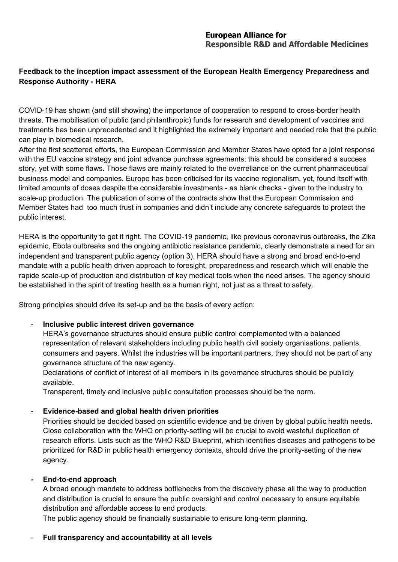# **Feedback to the inception impact assessment of the European Health Emergency Preparedness and Response Authority - HERA**

COVID-19 has shown (and still showing) the importance of cooperation to respond to cross-border health threats. The mobilisation of public (and philanthropic) funds for research and development of vaccines and treatments has been unprecedented and it highlighted the extremely important and needed role that the public can play in biomedical research.

After the first scattered efforts, the European Commission and Member States have opted for a joint response with the EU vaccine strategy and joint advance purchase agreements: this should be considered a success story, yet with some flaws. Those flaws are mainly related to the overreliance on the current pharmaceutical business model and companies. Europe has been criticised for its vaccine regionalism, yet, found itself with limited amounts of doses despite the considerable investments - as blank checks - given to the industry to scale-up production. The publication of some of the contracts show that the European Commission and Member States had too much trust in companies and didn't include any concrete safeguards to protect the public interest.

HERA is the opportunity to get it right. The COVID-19 pandemic, like previous coronavirus outbreaks, the Zika epidemic, Ebola outbreaks and the ongoing antibiotic resistance pandemic, clearly demonstrate a need for an independent and transparent public agency (option 3). HERA should have a strong and broad end-to-end mandate with a public health driven approach to foresight, preparedness and research which will enable the rapide scale-up of production and distribution of key medical tools when the need arises. The agency should be established in the spirit of treating health as a human right, not just as a threat to safety.

Strong principles should drive its set-up and be the basis of every action:

#### - **Inclusive public interest driven governance**

HERA's governance structures should ensure public control complemented with a balanced representation of relevant stakeholders including public health civil society organisations, patients, consumers and payers. Whilst the industries will be important partners, they should not be part of any governance structure of the new agency.

Declarations of conflict of interest of all members in its governance structures should be publicly available.

Transparent, timely and inclusive public consultation processes should be the norm.

### - **Evidence-based and global health driven priorities**

Priorities should be decided based on scientific evidence and be driven by global public health needs. Close collaboration with the WHO on priority-setting will be crucial to avoid wasteful duplication of research efforts. Lists such as the WHO R&D Blueprint, which identifies diseases and pathogens to be prioritized for R&D in public health emergency contexts, should drive the priority-setting of the new agency.

### **- End-to-end approach**

A broad enough mandate to address bottlenecks from the discovery phase all the way to production and distribution is crucial to ensure the public oversight and control necessary to ensure equitable distribution and affordable access to end products.

The public agency should be financially sustainable to ensure long-term planning.

### - **Full transparency and accountability at all levels**